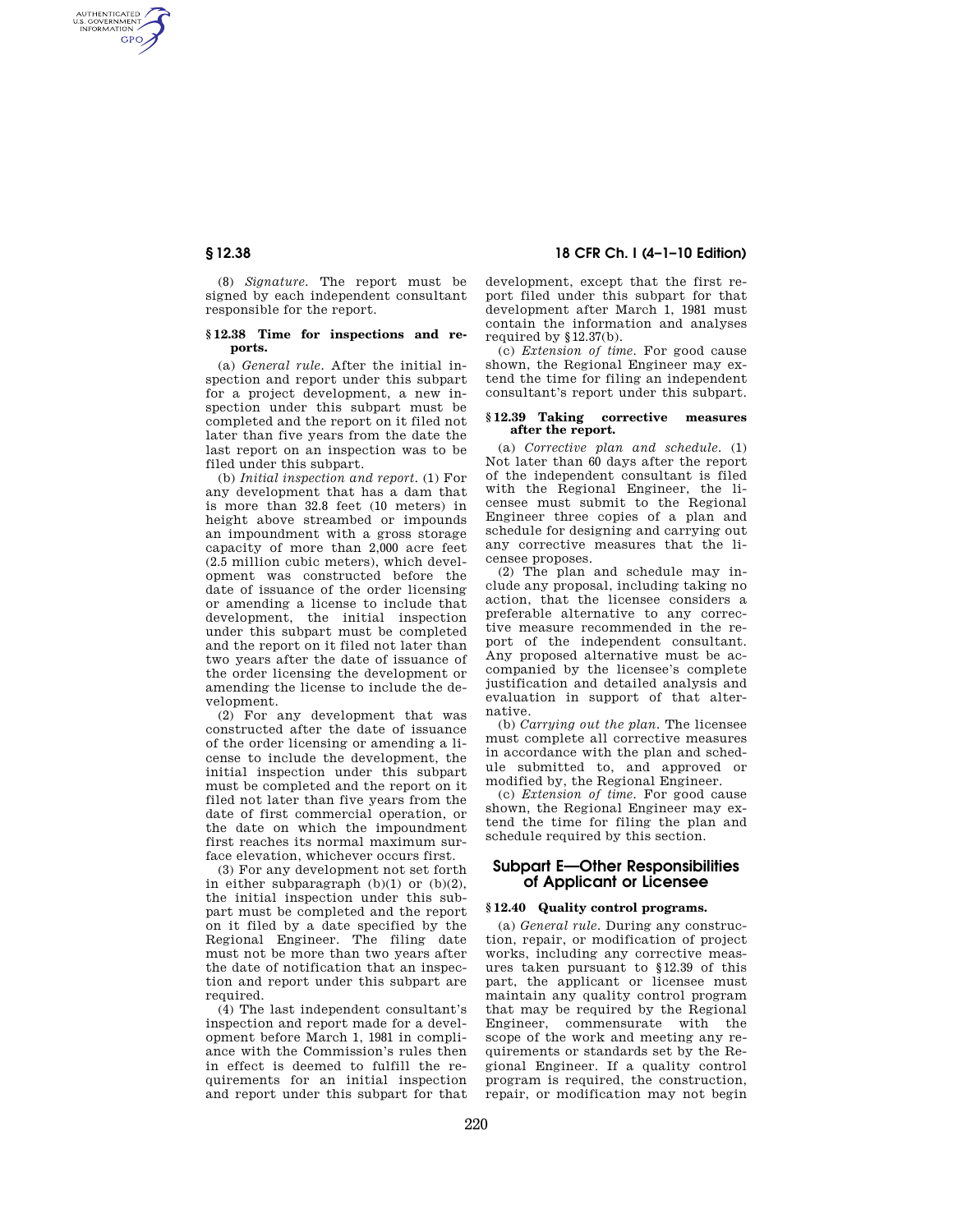AUTHENTICATED<br>U.S. GOVERNMENT<br>INFORMATION **GPO** 

> (8) *Signature.* The report must be signed by each independent consultant responsible for the report.

### **§ 12.38 Time for inspections and reports.**

(a) *General rule.* After the initial inspection and report under this subpart for a project development, a new inspection under this subpart must be completed and the report on it filed not later than five years from the date the last report on an inspection was to be filed under this subpart.

(b) *Initial inspection and report.* (1) For any development that has a dam that is more than 32.8 feet (10 meters) in height above streambed or impounds an impoundment with a gross storage capacity of more than 2,000 acre feet (2.5 million cubic meters), which development was constructed before the date of issuance of the order licensing or amending a license to include that development, the initial inspection under this subpart must be completed and the report on it filed not later than two years after the date of issuance of the order licensing the development or amending the license to include the development.

(2) For any development that was constructed after the date of issuance of the order licensing or amending a license to include the development, the initial inspection under this subpart must be completed and the report on it filed not later than five years from the date of first commercial operation, or the date on which the impoundment first reaches its normal maximum surface elevation, whichever occurs first.

(3) For any development not set forth in either subparagraph  $(b)(1)$  or  $(b)(2)$ , the initial inspection under this subpart must be completed and the report on it filed by a date specified by the Regional Engineer. The filing date must not be more than two years after the date of notification that an inspection and report under this subpart are required.

(4) The last independent consultant's inspection and report made for a development before March 1, 1981 in compliance with the Commission's rules then in effect is deemed to fulfill the requirements for an initial inspection and report under this subpart for that

# **§ 12.38 18 CFR Ch. I (4–1–10 Edition)**

development, except that the first report filed under this subpart for that development after March 1, 1981 must contain the information and analyses required by §12.37(b).

(c) *Extension of time.* For good cause shown, the Regional Engineer may extend the time for filing an independent consultant's report under this subpart.

## **§ 12.39 Taking corrective measures after the report.**

(a) *Corrective plan and schedule.* (1) Not later than 60 days after the report of the independent consultant is filed with the Regional Engineer, the licensee must submit to the Regional Engineer three copies of a plan and schedule for designing and carrying out any corrective measures that the licensee proposes.

(2) The plan and schedule may include any proposal, including taking no action, that the licensee considers a preferable alternative to any corrective measure recommended in the report of the independent consultant. Any proposed alternative must be accompanied by the licensee's complete justification and detailed analysis and evaluation in support of that alternative.

(b) *Carrying out the plan.* The licensee must complete all corrective measures in accordance with the plan and schedule submitted to, and approved or modified by, the Regional Engineer.

(c) *Extension of time.* For good cause shown, the Regional Engineer may extend the time for filing the plan and schedule required by this section.

# **Subpart E—Other Responsibilities of Applicant or Licensee**

## **§ 12.40 Quality control programs.**

(a) *General rule.* During any construction, repair, or modification of project works, including any corrective measures taken pursuant to §12.39 of this part, the applicant or licensee must maintain any quality control program that may be required by the Regional Engineer, commensurate with the scope of the work and meeting any requirements or standards set by the Regional Engineer. If a quality control program is required, the construction, repair, or modification may not begin